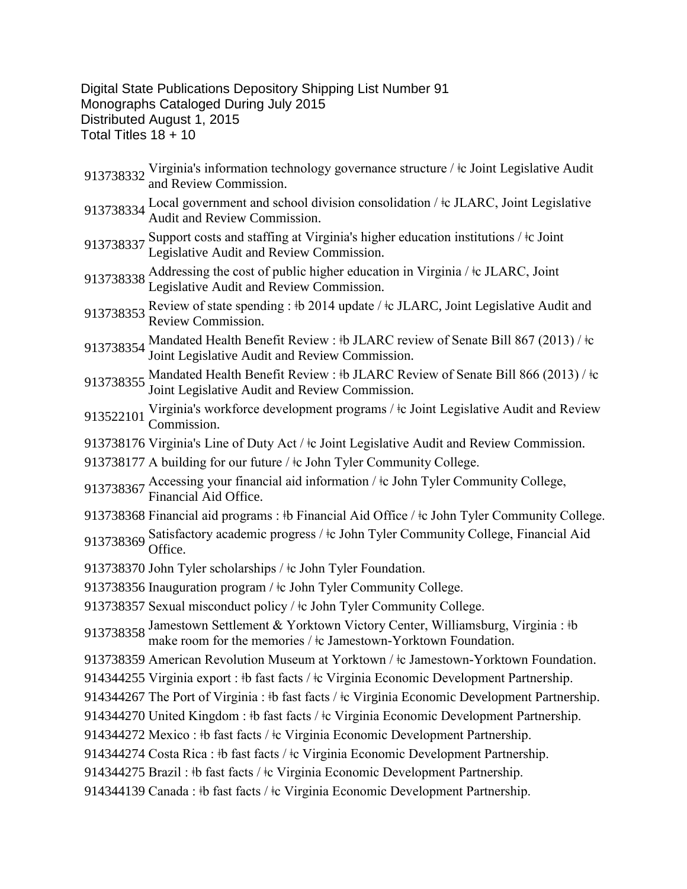## Digital State Publications Depository Shipping List Number 91 Monographs Cataloged During July 2015 Distributed August 1, 2015 Total Titles 18 + 10

- 913738332 Virginia's information technology governance structure / ‡c Joint Legislative Audit and Review Commission.
- <sup>913738334</sup> Local government and school division consolidation / ǂc JLARC, Joint Legislative Audit and Review Commission.
- 913738337 Support costs and staffing at Virginia's higher education institutions /  $\pm c$  Joint Legislative Audit and Review Commission.
- 913738338 Addressing the cost of public higher education in Virginia /  $\pm c$  JLARC, Joint Legislative Audit and Review Commission.
- 913738353 Review of state spending :  $\frac{1}{2}$  2014 update /  $\frac{1}{2}$  JLARC, Joint Legislative Audit and Review Commission.
- 913738354 Mandated Health Benefit Review : ‡b JLARC review of Senate Bill 867 (2013) / ‡c Joint Legislative Audit and Review Commission.
- 913738355 Mandated Health Benefit Review : ‡b JLARC Review of Senate Bill 866 (2013) / ‡c Joint Legislative Audit and Review Commission.
- 913522101 Virginia's workforce development programs /  $\pm$ c Joint Legislative Audit and Review Commission.
- 913738176 Virginia's Line of Duty Act /  $\pm c$  Joint Legislative Audit and Review Commission.
- 913738177 A building for our future /  $\pm$  John Tyler Community College.
- 913738367 Accessing your financial aid information / ‡c John Tyler Community College, Financial Aid Office.
- 913738368 Financial aid programs : ‡b Financial Aid Office / ‡c John Tyler Community College. 913738369 Satisfactory academic progress /  $\pm$ c John Tyler Community College, Financial Aid Office.
- 913738370 John Tyler scholarships /  $\pm c$  John Tyler Foundation.
- 913738356 Inauguration program /  $\pm c$  John Tyler Community College.
- 913738357 Sexual misconduct policy /  $\pm$ c John Tyler Community College.

913738358 Jamestown Settlement & Yorktown Victory Center, Williamsburg, Virginia : ‡b make room for the memories / ‡c Jamestown-Yorktown Foundation.

- 913738359 American Revolution Museum at Yorktown /  $\pm$ c Jamestown-Yorktown Foundation.
- 914344255 Virginia export : ‡b fast facts / ‡c Virginia Economic Development Partnership.
- 914344267 The Port of Virginia : ‡b fast facts / ‡c Virginia Economic Development Partnership.
- 914344270 United Kingdom :  $\frac{1}{2}$  fast facts / $\frac{1}{2}$ c Virginia Economic Development Partnership.
- 914344272 Mexico : ‡b fast facts / ‡c Virginia Economic Development Partnership.
- 914344274 Costa Rica : ‡b fast facts / ‡c Virginia Economic Development Partnership.
- 914344275 Brazil:  $\pm b$  fast facts /  $\pm c$  Virginia Economic Development Partnership.
- 914344139 Canada : ǂb fast facts / ǂc Virginia Economic Development Partnership.